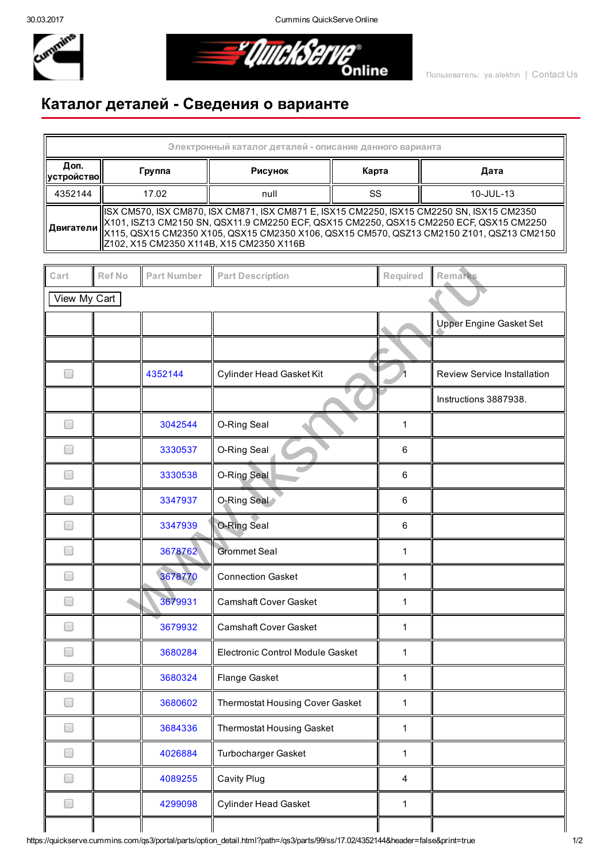30.03.2017 Cummins QuickServe Online



**AllickServe** 

## Каталог деталей Сведения о варианте

| Электронный каталог деталей - описание данного варианта |                                                                                                                                                                                                                                                                                                                                                       |         |       |           |  |  |  |  |  |
|---------------------------------------------------------|-------------------------------------------------------------------------------------------------------------------------------------------------------------------------------------------------------------------------------------------------------------------------------------------------------------------------------------------------------|---------|-------|-----------|--|--|--|--|--|
| Доп.<br>  устройство                                    | Группа                                                                                                                                                                                                                                                                                                                                                | Рисунок | Карта | Дата      |  |  |  |  |  |
| 4352144                                                 | 17.02                                                                                                                                                                                                                                                                                                                                                 | null    | SS    | 10-JUL-13 |  |  |  |  |  |
|                                                         | ISX CM570, ISX CM870, ISX CM871, ISX CM871 E, ISX15 CM2250, ISX15 CM2250 SN, ISX15 CM2350<br>  X101, ISZ13 CM2150 SN, QSX11.9 CM2250 ECF, QSX15 CM2250, QSX15 CM2250 ECF, QSX15 CM2250<br>   <b>Двигатели</b>    X115, QSX15 CM2350 X105, QSX15 CM2350 X106, QSX15 CM570, QSZ13 CM2150 Z101, QSZ13 CM2150<br>Z102, X15 CM2350 X114B, X15 CM2350 X116B |         |       |           |  |  |  |  |  |

| Cart                     | Ref No | Part Number | <b>Part Description</b>          | Required       | Remarks                     |  |
|--------------------------|--------|-------------|----------------------------------|----------------|-----------------------------|--|
| View My Cart             |        |             |                                  |                |                             |  |
|                          |        |             |                                  |                | Upper Engine Gasket Set     |  |
|                          |        |             |                                  |                |                             |  |
| $\overline{\phantom{a}}$ |        | 4352144     | Cylinder Head Gasket Kit         |                | Review Service Installation |  |
|                          |        |             |                                  |                | Instructions 3887938.       |  |
|                          |        | 3042544     | O-Ring Seal                      | 1              |                             |  |
|                          |        | 3330537     | O-Ring Seal                      | $\,6\,$        |                             |  |
|                          |        | 3330538     | O-Ring Seal                      | $\,6\,$        |                             |  |
|                          |        | 3347937     | O-Ring Seal                      | $\,6\,$        |                             |  |
| m.                       |        | 3347939     | O-Ring Seal                      | $\,6$          |                             |  |
|                          |        | 3678762     | <b>Grommet Seal</b>              | 1              |                             |  |
|                          |        | 3678770     | <b>Connection Gasket</b>         | 1              |                             |  |
| ۰                        |        | 3679931     | <b>Camshaft Cover Gasket</b>     | 1              |                             |  |
|                          |        | 3679932     | <b>Camshaft Cover Gasket</b>     | 1              |                             |  |
|                          |        | 3680284     | Electronic Control Module Gasket | 1              |                             |  |
|                          |        | 3680324     | Flange Gasket                    | 1              |                             |  |
|                          |        | 3680602     | Thermostat Housing Cover Gasket  | $\mathbf{1}$   |                             |  |
| ۰                        |        | 3684336     | Thermostat Housing Gasket        | $\mathbf{1}$   |                             |  |
| $\Box$                   |        | 4026884     | Turbocharger Gasket              | $\mathbf{1}$   |                             |  |
| $\Box$                   |        | 4089255     | Cavity Plug                      | $\overline{4}$ |                             |  |
| $\Box$                   |        | 4299098     | <b>Cylinder Head Gasket</b>      | $\mathbf{1}$   |                             |  |
|                          |        |             |                                  |                |                             |  |